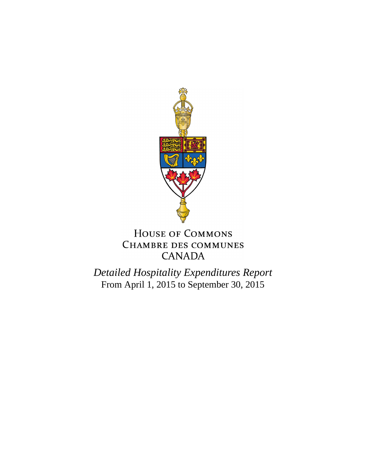

## HOUSE OF COMMONS **CHAMBRE DES COMMUNES CANADA**

*Detailed Hospitality Expenditures Report* From April 1, 2015 to September 30, 2015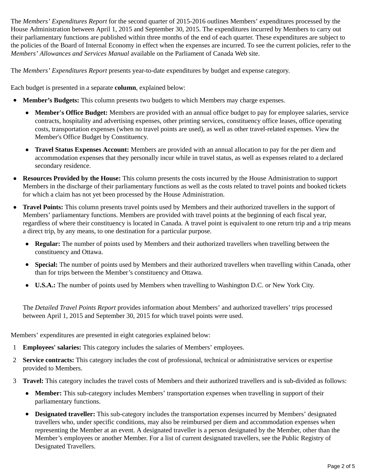The *Members' Expenditures Report* for the second quarter of 2015-2016 outlines Members' expenditures processed by the House Administration between April 1, 2015 and September 30, 2015. The expenditures incurred by Members to carry out their parliamentary functions are published within three months of the end of each quarter. These expenditures are subject to the policies of the Board of Internal Economy in effect when the expenses are incurred. To see the current policies, refer to the *Members' Allowances and Services Manual* available on the Parliament of Canada Web site.

The *Members' Expenditures Report* presents year-to-date expenditures by budget and expense category.

Each budget is presented in a separate **column**, explained below:

- **Member's Budgets:** This column presents two budgets to which Members may charge expenses.
	- **Member's Office Budget:** Members are provided with an annual office budget to pay for employee salaries, service contracts, hospitality and advertising expenses, other printing services, constituency office leases, office operating costs, transportation expenses (when no travel points are used), as well as other travel-related expenses. View the Member's Office Budget by Constituency.
	- **Travel Status Expenses Account:** Members are provided with an annual allocation to pay for the per diem and accommodation expenses that they personally incur while in travel status, as well as expenses related to a declared secondary residence.
- **Resources Provided by the House:** This column presents the costs incurred by the House Administration to support Members in the discharge of their parliamentary functions as well as the costs related to travel points and booked tickets for which a claim has not yet been processed by the House Administration.
- **Travel Points:** This column presents travel points used by Members and their authorized travellers in the support of Members' parliamentary functions. Members are provided with travel points at the beginning of each fiscal year, regardless of where their constituency is located in Canada. A travel point is equivalent to one return trip and a trip means a direct trip, by any means, to one destination for a particular purpose.
	- **Regular:** The number of points used by Members and their authorized travellers when travelling between the constituency and Ottawa.
	- **Special:** The number of points used by Members and their authorized travellers when travelling within Canada, other than for trips between the Member's constituency and Ottawa.
	- **U.S.A.:** The number of points used by Members when travelling to Washington D.C. or New York City.

The *Detailed Travel Points Report* provides information about Members' and authorized travellers' trips processed between April 1, 2015 and September 30, 2015 for which travel points were used.

Members' expenditures are presented in eight categories explained below:

- 1 **Employees' salaries:** This category includes the salaries of Members' employees.
- 2 **Service contracts:** This category includes the cost of professional, technical or administrative services or expertise provided to Members.
- 3 **Travel:** This category includes the travel costs of Members and their authorized travellers and is sub-divided as follows:
	- **Member:** This sub-category includes Members' transportation expenses when travelling in support of their parliamentary functions.
	- **Designated traveller:** This sub-category includes the transportation expenses incurred by Members' designated travellers who, under specific conditions, may also be reimbursed per diem and accommodation expenses when representing the Member at an event. A designated traveller is a person designated by the Member, other than the Member's employees or another Member. For a list of current designated travellers, see the Public Registry of Designated Travellers.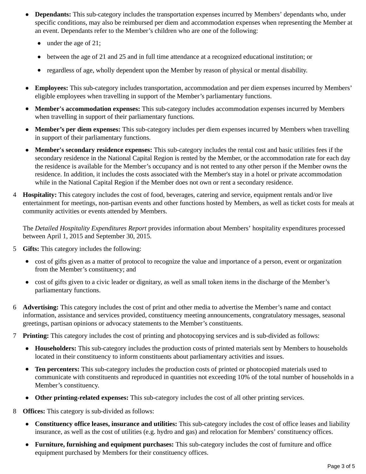- **Dependants:** This sub-category includes the transportation expenses incurred by Members' dependants who, under specific conditions, may also be reimbursed per diem and accommodation expenses when representing the Member at an event. Dependants refer to the Member's children who are one of the following:
	- under the age of 21;
	- between the age of 21 and 25 and in full time attendance at a recognized educational institution; or
	- regardless of age, wholly dependent upon the Member by reason of physical or mental disability.
- **Employees:** This sub-category includes transportation, accommodation and per diem expenses incurred by Members' eligible employees when travelling in support of the Member's parliamentary functions.
- **Member's accommodation expenses:** This sub-category includes accommodation expenses incurred by Members when travelling in support of their parliamentary functions.
- **Member's per diem expenses:** This sub-category includes per diem expenses incurred by Members when travelling in support of their parliamentary functions.
- **Member's secondary residence expenses:** This sub-category includes the rental cost and basic utilities fees if the secondary residence in the National Capital Region is rented by the Member, or the accommodation rate for each day the residence is available for the Member's occupancy and is not rented to any other person if the Member owns the residence. In addition, it includes the costs associated with the Member's stay in a hotel or private accommodation while in the National Capital Region if the Member does not own or rent a secondary residence.
- 4 **Hospitality:** This category includes the cost of food, beverages, catering and service, equipment rentals and/or live entertainment for meetings, non-partisan events and other functions hosted by Members, as well as ticket costs for meals at community activities or events attended by Members.

The *Detailed Hospitality Expenditures Report* provides information about Members' hospitality expenditures processed between April 1, 2015 and September 30, 2015.

- 5 **Gifts:** This category includes the following:
	- cost of gifts given as a matter of protocol to recognize the value and importance of a person, event or organization from the Member's constituency; and
	- cost of gifts given to a civic leader or dignitary, as well as small token items in the discharge of the Member's parliamentary functions.
- 6 **Advertising:** This category includes the cost of print and other media to advertise the Member's name and contact information, assistance and services provided, constituency meeting announcements, congratulatory messages, seasonal greetings, partisan opinions or advocacy statements to the Member's constituents.
- 7 **Printing:** This category includes the cost of printing and photocopying services and is sub-divided as follows:
	- **Householders:** This sub-category includes the production costs of printed materials sent by Members to households located in their constituency to inform constituents about parliamentary activities and issues.
	- **Ten percenters:** This sub-category includes the production costs of printed or photocopied materials used to communicate with constituents and reproduced in quantities not exceeding 10% of the total number of households in a Member's constituency.
	- **Other printing-related expenses:** This sub-category includes the cost of all other printing services.
- 8 **Offices:** This category is sub-divided as follows:
	- **Constituency office leases, insurance and utilities:** This sub-category includes the cost of office leases and liability insurance, as well as the cost of utilities (e.g. hydro and gas) and relocation for Members' constituency offices.
	- **Furniture, furnishing and equipment purchases:** This sub-category includes the cost of furniture and office equipment purchased by Members for their constituency offices.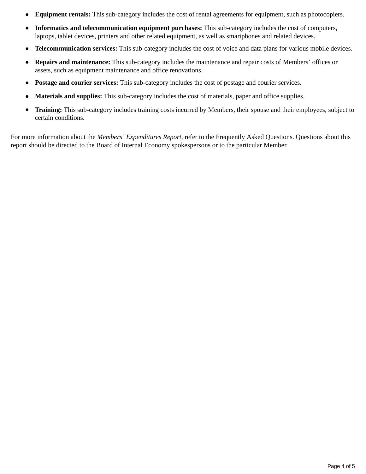- **Equipment rentals:** This sub-category includes the cost of rental agreements for equipment, such as photocopiers.
- **Informatics and telecommunication equipment purchases:** This sub-category includes the cost of computers, laptops, tablet devices, printers and other related equipment, as well as smartphones and related devices.
- **Telecommunication services:** This sub-category includes the cost of voice and data plans for various mobile devices.
- **Repairs and maintenance:** This sub-category includes the maintenance and repair costs of Members' offices or assets, such as equipment maintenance and office renovations.
- **Postage and courier services:** This sub-category includes the cost of postage and courier services.
- **Materials and supplies:** This sub-category includes the cost of materials, paper and office supplies.
- **Training:** This sub-category includes training costs incurred by Members, their spouse and their employees, subject to certain conditions.

For more information about the *Members' Expenditures Report,* refer to the Frequently Asked Questions. Questions about this report should be directed to the Board of Internal Economy spokespersons or to the particular Member.